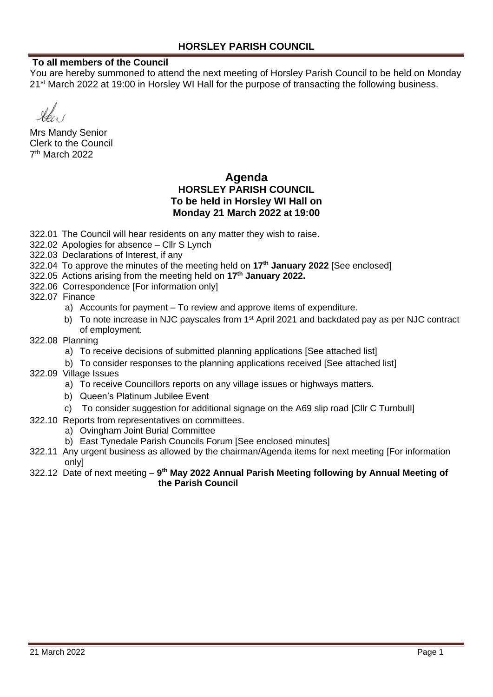#### **To all members of the Council**

You are hereby summoned to attend the next meeting of Horsley Parish Council to be held on Monday 21<sup>st</sup> March 2022 at 19:00 in Horsley WI Hall for the purpose of transacting the following business.

Mrs Mandy Senior Clerk to the Council 7 th March 2022

### **Agenda HORSLEY PARISH COUNCIL To be held in Horsley WI Hall on Monday 21 March 2022 at 19:00**

322.01 The Council will hear residents on any matter they wish to raise.

- 322.02 Apologies for absence Cllr S Lynch
- 322.03 Declarations of Interest, if any
- 322.04 To approve the minutes of the meeting held on **17th January 2022** [See enclosed]
- 322.05 Actions arising from the meeting held on **17th January 2022.**
- 322.06 Correspondence [For information only]

322.07 Finance

- a) Accounts for payment To review and approve items of expenditure.
- b) To note increase in NJC payscales from 1<sup>st</sup> April 2021 and backdated pay as per NJC contract of employment.
- 322.08 Planning
	- a) To receive decisions of submitted planning applications [See attached list]
	- b) To consider responses to the planning applications received [See attached list]
- 322.09 Village Issues
	- a) To receive Councillors reports on any village issues or highways matters.
	- b) Queen's Platinum Jubilee Event
	- c) To consider suggestion for additional signage on the A69 slip road [Cllr C Turnbull]
- 322.10 Reports from representatives on committees.
	- a) Ovingham Joint Burial Committee
		- b) East Tynedale Parish Councils Forum [See enclosed minutes]
- 322.11 Any urgent business as allowed by the chairman/Agenda items for next meeting [For information only]
- 322.12 Date of next meeting **9 th May 2022 Annual Parish Meeting following by Annual Meeting of the Parish Council**